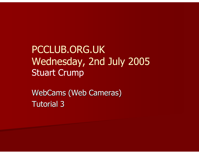PCCLUB.ORG.UK Wednesday, 2nd July 2005Stuart Crump

WebCams (Web Cameras) Tutorial 3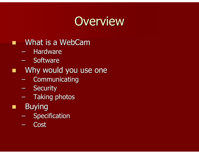# **Overview**

- m What is a WebCam
	- –- Hardware
	- $\mathcal{L}_{\mathcal{A}}$ – Software
- **Net allow would you use one** 
	- Communicating
	- $\mathcal{L}_{\mathcal{A}}$ – Security
	- $-$  Taking photos
- **Charles**  Buying
	- $\mathcal{L}_{\mathcal{A}}$ – Specification
	- –**Cost**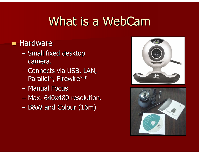# What is a WebCam

#### ■ Hardware

- $\mathcal{L}_{\mathcal{A}}$ – Small fixed desktop camera.
- –– Connects via USB, LAN, Parallel\*, Firewire\*\*
- $-$  Manual Focus
- $\mathcal{L}_{\mathcal{A}}$ Max. 640x480 resolution.
- $\mathcal{L}_{\mathcal{A}}$ B&W and Colour (16m)



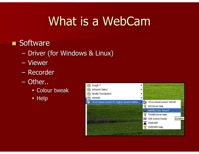# What is a WebCam

#### ■ Software

- $\mathcal{L}_{\mathcal{A}}$ – Driver (for Windows & Linux)
- Viewer
- $\mathcal{L}_{\mathcal{A}}$ Recorder
- $\mathcal{L}_{\mathcal{A}}$ - Other..
	- Colour tweak
	- Help

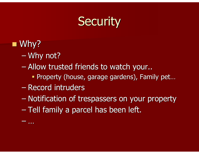## **Security**

■ Why?

–

…

- –Why not?
- – Allow trusted friends to watch your..
	- Property (house, garage gardens), Family pet…
- –– Record intruders
- –– Notification of trespassers on your property
- –– Tell family a parcel has been left.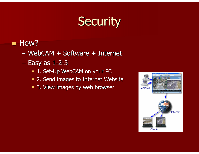# **Security**

### $\blacksquare$  How?

- $\mathcal{L}_{\mathcal{A}}$ WebCAM + Software + Internet
- Easy as 1-2-3
	- 1. Set-Up WebCAM on your PC
	- 2. Send images to Internet Website
	- 3. View images by web browser

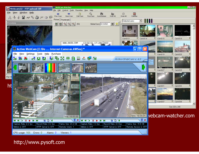

#### http://www.pysoft.com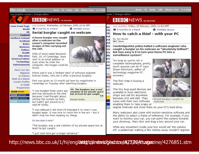| bbc.co.uk                                                                                                                                                                                                                                                                                                                                                                                                                                                                              | Home                                                                                                                                                                                                                                                                                                                                                                                                                                                                                                                                                                                                                                                                                                                                                                                                                                                                                                                                                                                                                                                                                                                                                                                   | A-2 Index<br><b>Where I Live</b><br>Radio<br>Talk                                                                                                                                                                     |                                                                                                                                                                     | Where I Live<br>A-Z Inde:<br><b>Home</b><br>Radio<br>Talk<br>НΔ                                                                                                                                                                                                                                                                                                                                                                                                                                                                                                                                                                                                                                                                                                                                                                                                                                                                                                                                                                                                                                                                                                                                                                                                                      |
|----------------------------------------------------------------------------------------------------------------------------------------------------------------------------------------------------------------------------------------------------------------------------------------------------------------------------------------------------------------------------------------------------------------------------------------------------------------------------------------|----------------------------------------------------------------------------------------------------------------------------------------------------------------------------------------------------------------------------------------------------------------------------------------------------------------------------------------------------------------------------------------------------------------------------------------------------------------------------------------------------------------------------------------------------------------------------------------------------------------------------------------------------------------------------------------------------------------------------------------------------------------------------------------------------------------------------------------------------------------------------------------------------------------------------------------------------------------------------------------------------------------------------------------------------------------------------------------------------------------------------------------------------------------------------------------|-----------------------------------------------------------------------------------------------------------------------------------------------------------------------------------------------------------------------|---------------------------------------------------------------------------------------------------------------------------------------------------------------------|--------------------------------------------------------------------------------------------------------------------------------------------------------------------------------------------------------------------------------------------------------------------------------------------------------------------------------------------------------------------------------------------------------------------------------------------------------------------------------------------------------------------------------------------------------------------------------------------------------------------------------------------------------------------------------------------------------------------------------------------------------------------------------------------------------------------------------------------------------------------------------------------------------------------------------------------------------------------------------------------------------------------------------------------------------------------------------------------------------------------------------------------------------------------------------------------------------------------------------------------------------------------------------------|
| Low Graphics version   Change edition                                                                                                                                                                                                                                                                                                                                                                                                                                                  |                                                                                                                                                                                                                                                                                                                                                                                                                                                                                                                                                                                                                                                                                                                                                                                                                                                                                                                                                                                                                                                                                                                                                                                        |                                                                                                                                                                                                                       |                                                                                                                                                                     | ersion   Change edition                                                                                                                                                                                                                                                                                                                                                                                                                                                                                                                                                                                                                                                                                                                                                                                                                                                                                                                                                                                                                                                                                                                                                                                                                                                              |
|                                                                                                                                                                                                                                                                                                                                                                                                                                                                                        | <b>B B C NEWS UK EDITION</b>                                                                                                                                                                                                                                                                                                                                                                                                                                                                                                                                                                                                                                                                                                                                                                                                                                                                                                                                                                                                                                                                                                                                                           |                                                                                                                                                                                                                       |                                                                                                                                                                     | <b>B B C NEWS UK EDITION</b>                                                                                                                                                                                                                                                                                                                                                                                                                                                                                                                                                                                                                                                                                                                                                                                                                                                                                                                                                                                                                                                                                                                                                                                                                                                         |
| <b>News Front Page</b><br>World<br><b>UK</b><br><b>England</b><br><b>Northern Ireland</b><br><b>Scotland</b><br>Wales<br><b>Business</b><br><b>Politics</b><br><b>Health</b><br><b>Education</b><br><b>Science/Nature</b><br><b>Technology</b><br><b>Entertainment</b><br><br>Have Your Say<br>Magazine<br>In Pictures<br>Week at a Glance<br><b>Country Profiles</b><br>In Depth<br>Programmes<br><b>BBB</b> SPORT<br><b>BBB</b> WEATHER<br><b>CBBBnews</b><br><b>BBB</b> ON THIS DAY | Last Updated: Wednesday, 16 February, 2005, 22:26 GMT<br>E-mail this to a friend<br>Serial burglar caught on webcam<br>A house burglar was caught<br>after a webcam on the<br>owner's computer recorded<br>images of him carrying out<br>the raid.<br>Stills of serial raider Benjamin<br>Park, 19, of Cambridge, were<br>sent to an email address so<br>even when he stole the<br>computer, the images could be<br>found.<br>Police said it was a "brilliant idea" of software engineer<br>Duncan Grisby, who set it after a previous burglary.<br>Park was given an 11-month jail term by magistrates in<br>Cambridge on Tuesday after admitting burglary.<br>"I was burgled three years ago<br>and was annoyed at the time<br>because I had thought about<br>setting this system up then,<br>but hadn't got around to it,"<br>said Mr Grisby.<br>"I was relieved it did what I'd intended it to when I was<br>burgled again. It was nice to catch him in the act - but it<br>didn't stop him from stealing my things.<br>So how does it work?<br>"The burglary was a real violation of my private space but at<br>least he got caught.<br>"I just wish he'd got a longer sentence." | <b>Printable version</b><br>Park kindly provided a clear image<br>of his face during the burglary<br>66 The burglary was a real<br>violation of my private space<br>but at least he got caught<br>99<br>Duncan Grisby | ige<br>rld<br>UK<br>ınd<br>and<br><b>Ind</b><br>les<br>ess<br>ics<br><b>Ith</b><br>ion<br><b>re</b><br>lgy<br>ent<br>Say<br>ine<br>res<br>nce<br>iles<br>pth<br>nes | Last Updated: Friday, 18 February, 2005, 12:53 GMT<br>E-mail this to a friend<br><b>Printable version</b><br>How to catch a thief - with your PC<br>By Joe Boyle<br><b>BBC News</b><br>Cambridgeshire police hailed a software engineer who<br>caught a burglar on his webcam as "absolutely brilliant".<br>But how easy is it to turn your home PC into a<br>surveillance system?<br>"As long as you're not a<br>complete technophobe, pretty<br>much anyone can do it" says<br>Simon Pickstock, editor of<br>technology magazine PC<br>Answers.<br>The first step is buying a<br>webcam.<br>The tiny bug-eyed devices are<br>available in most electronic<br>shops and sell for anywhere<br>between £15 and £60. They<br>Serial burglar caught on<br>come with their own software<br>webcam<br>enabling them to take snaps at<br>regular intervals and store them on your PC's hard drive.<br>Many webcams also come with motion-sensitive software and<br>the ability to select a frame of reference. For example, if you<br>want to monitor your car, you can point the camera towards<br>your driveway, then click and drag a box around your car.<br>While any movement inside your box would set the camera<br>off, a pedestrian walking a few metres away wouldn't register. |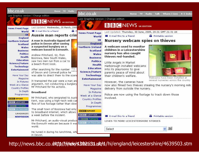

http://news.bbc.co.**uktp://wek/s.bbc631.uk/i1**/hi/england/leicestershire/4639503.stm<br>.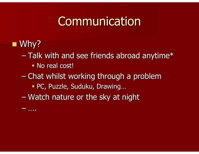## Communication

# ■ Why?

–

….

- – $-$  Talk with and see friends abroad anytime $^\ast$ 
	- **No real cost!**
- –– Chat whilst working through a problem
	- PC, Puzzle, Suduku, Drawing…
- –– Watch nature or the sky at night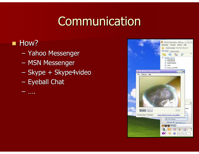# Communication

### $\blacksquare$  How?

- $\mathcal{L}_{\mathcal{A}}$  $-$  Yahoo Messenger
- $-$  MSN Messenger
- $\mathcal{L}_{\mathcal{A}}$ – Skype + Skype4video
- $\mathcal{L}_{\mathcal{A}}$ – Eyeball Chat

….

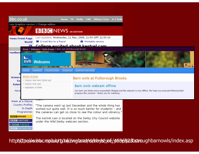

http**://tpe//ww.bbc.rspb.lo/ty.hi//englarad/de/bbylshire/4536/628bstrn**ughbarnowls/index.asp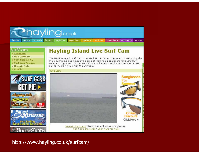

http://www.hayling.co.uk/surfcam/